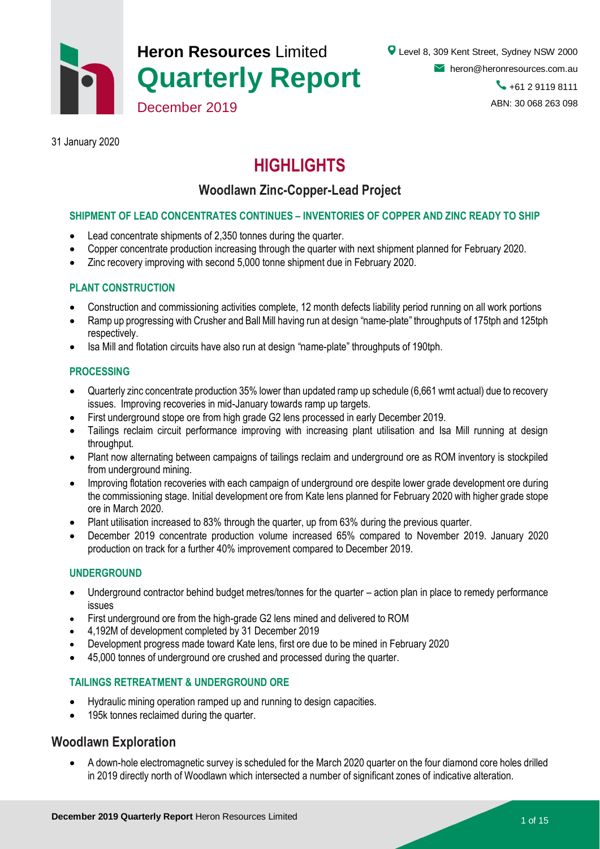

# **Heron Resources** Limited **Quarterly Report**

31 January 2020

# **HIGHLIGHTS**

# **Woodlawn Zinc-Copper-Lead Project**

#### **SHIPMENT OF LEAD CONCENTRATES CONTINUES – INVENTORIES OF COPPER AND ZINC READY TO SHIP**

Lead concentrate shipments of 2,350 tonnes during the quarter.

December 2019

- Copper concentrate production increasing through the quarter with next shipment planned for February 2020.
- Zinc recovery improving with second 5,000 tonne shipment due in February 2020.

#### **PLANT CONSTRUCTION**

- Construction and commissioning activities complete, 12 month defects liability period running on all work portions
- Ramp up progressing with Crusher and Ball Mill having run at design "name-plate" throughputs of 175tph and 125tph respectively.
- Isa Mill and flotation circuits have also run at design "name-plate" throughputs of 190tph.

#### **PROCESSING**

- Quarterly zinc concentrate production 35% lower than updated ramp up schedule (6,661 wmt actual) due to recovery issues. Improving recoveries in mid-January towards ramp up targets.
- First underground stope ore from high grade G2 lens processed in early December 2019.
- Tailings reclaim circuit performance improving with increasing plant utilisation and Isa Mill running at design throughput.
- Plant now alternating between campaigns of tailings reclaim and underground ore as ROM inventory is stockpiled from underground mining.
- Improving flotation recoveries with each campaign of underground ore despite lower grade development ore during the commissioning stage. Initial development ore from Kate lens planned for February 2020 with higher grade stope ore in March 2020.
- Plant utilisation increased to 83% through the quarter, up from 63% during the previous quarter.
- December 2019 concentrate production volume increased 65% compared to November 2019. January 2020 production on track for a further 40% improvement compared to December 2019.

#### **UNDERGROUND**

- Underground contractor behind budget metres/tonnes for the quarter action plan in place to remedy performance issues
- First underground ore from the high-grade G2 lens mined and delivered to ROM
- 4,192M of development completed by 31 December 2019
- Development progress made toward Kate lens, first ore due to be mined in February 2020
- 45,000 tonnes of underground ore crushed and processed during the quarter.

#### **TAILINGS RETREATMENT & UNDERGROUND ORE**

- Hydraulic mining operation ramped up and running to design capacities.
- 195k tonnes reclaimed during the quarter.

### **Woodlawn Exploration**

 A down-hole electromagnetic survey is scheduled for the March 2020 quarter on the four diamond core holes drilled in 2019 directly north of Woodlawn which intersected a number of significant zones of indicative alteration.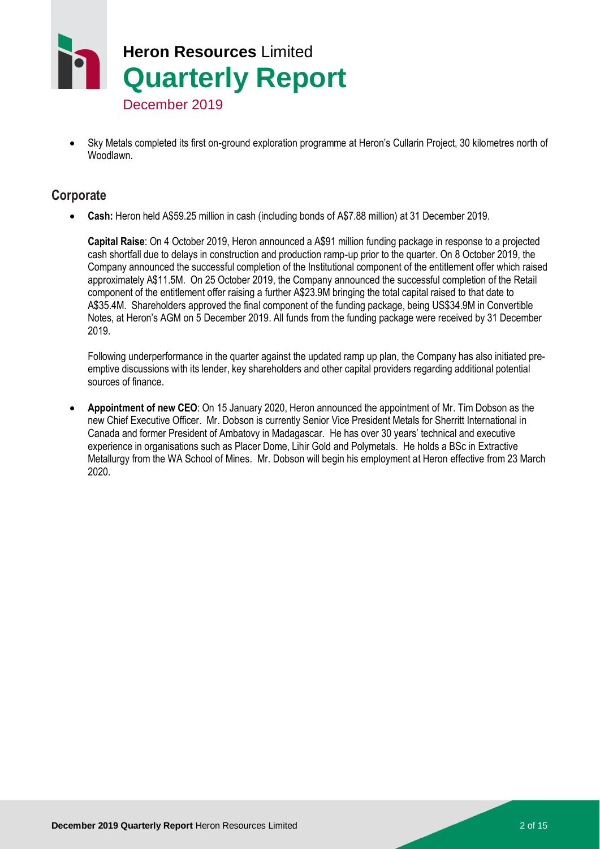

- December 2019
- Sky Metals completed its first on-ground exploration programme at Heron's Cullarin Project, 30 kilometres north of Woodlawn.

## **Corporate**

**Cash:** Heron held A\$59.25 million in cash (including bonds of A\$7.88 million) at 31 December 2019.

**Capital Raise**: On 4 October 2019, Heron announced a A\$91 million funding package in response to a projected cash shortfall due to delays in construction and production ramp-up prior to the quarter. On 8 October 2019, the Company announced the successful completion of the Institutional component of the entitlement offer which raised approximately A\$11.5M. On 25 October 2019, the Company announced the successful completion of the Retail component of the entitlement offer raising a further A\$23.9M bringing the total capital raised to that date to A\$35.4M. Shareholders approved the final component of the funding package, being US\$34.9M in Convertible Notes, at Heron's AGM on 5 December 2019. All funds from the funding package were received by 31 December 2019.

Following underperformance in the quarter against the updated ramp up plan, the Company has also initiated preemptive discussions with its lender, key shareholders and other capital providers regarding additional potential sources of finance.

 **Appointment of new CEO**: On 15 January 2020, Heron announced the appointment of Mr. Tim Dobson as the new Chief Executive Officer. Mr. Dobson is currently Senior Vice President Metals for Sherritt International in Canada and former President of Ambatovy in Madagascar. He has over 30 years' technical and executive experience in organisations such as Placer Dome, Lihir Gold and Polymetals. He holds a BSc in Extractive Metallurgy from the WA School of Mines. Mr. Dobson will begin his employment at Heron effective from 23 March 2020.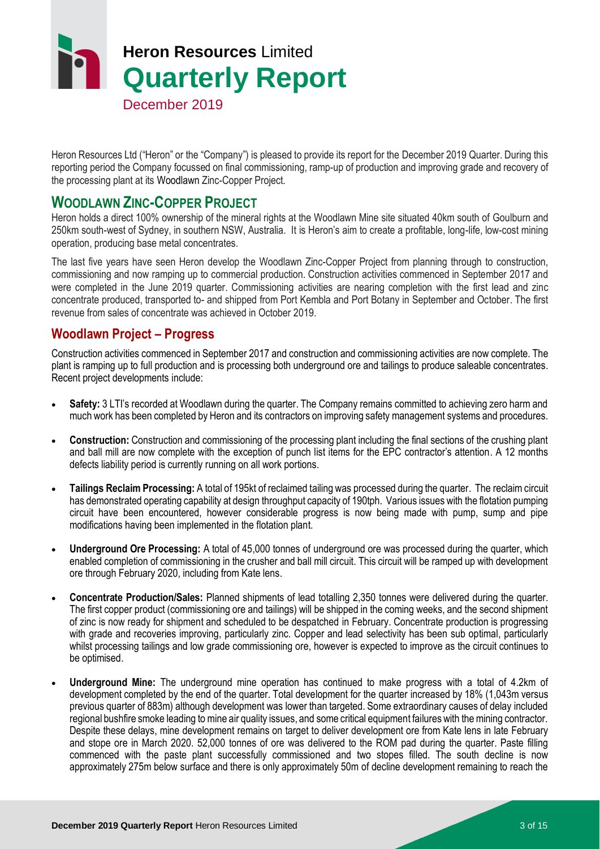

Heron Resources Ltd ("Heron" or the "Company") is pleased to provide its report for the December 2019 Quarter. During this reporting period the Company focussed on final commissioning, ramp-up of production and improving grade and recovery of the processing plant at its Woodlawn Zinc-Copper Project.

## **WOODLAWN ZINC-COPPER PROJECT**

Heron holds a direct 100% ownership of the mineral rights at the Woodlawn Mine site situated 40km south of Goulburn and 250km south-west of Sydney, in southern NSW, Australia. It is Heron's aim to create a profitable, long-life, low-cost mining operation, producing base metal concentrates.

The last five years have seen Heron develop the Woodlawn Zinc-Copper Project from planning through to construction, commissioning and now ramping up to commercial production. Construction activities commenced in September 2017 and were completed in the June 2019 quarter. Commissioning activities are nearing completion with the first lead and zinc concentrate produced, transported to- and shipped from Port Kembla and Port Botany in September and October. The first revenue from sales of concentrate was achieved in October 2019.

## **Woodlawn Project – Progress**

Construction activities commenced in September 2017 and construction and commissioning activities are now complete. The plant is ramping up to full production and is processing both underground ore and tailings to produce saleable concentrates. Recent project developments include:

- **Safety:** 3 LTI's recorded at Woodlawn during the quarter. The Company remains committed to achieving zero harm and much work has been completed by Heron and its contractors on improving safety management systems and procedures.
- **Construction:** Construction and commissioning of the processing plant including the final sections of the crushing plant and ball mill are now complete with the exception of punch list items for the EPC contractor's attention. A 12 months defects liability period is currently running on all work portions.
- **Tailings Reclaim Processing:** A total of 195kt of reclaimed tailing was processed during the quarter. The reclaim circuit has demonstrated operating capability at design throughput capacity of 190tph. Various issues with the flotation pumping circuit have been encountered, however considerable progress is now being made with pump, sump and pipe modifications having been implemented in the flotation plant.
- **Underground Ore Processing:** A total of 45,000 tonnes of underground ore was processed during the quarter, which enabled completion of commissioning in the crusher and ball mill circuit. This circuit will be ramped up with development ore through February 2020, including from Kate lens.
- **Concentrate Production/Sales:** Planned shipments of lead totalling 2,350 tonnes were delivered during the quarter. The first copper product (commissioning ore and tailings) will be shipped in the coming weeks, and the second shipment of zinc is now ready for shipment and scheduled to be despatched in February. Concentrate production is progressing with grade and recoveries improving, particularly zinc. Copper and lead selectivity has been sub optimal, particularly whilst processing tailings and low grade commissioning ore, however is expected to improve as the circuit continues to be optimised.
- **Underground Mine:** The underground mine operation has continued to make progress with a total of 4.2km of development completed by the end of the quarter. Total development for the quarter increased by 18% (1,043m versus previous quarter of 883m) although development was lower than targeted. Some extraordinary causes of delay included regional bushfire smoke leading to mine air quality issues, and some critical equipment failures with the mining contractor. Despite these delays, mine development remains on target to deliver development ore from Kate lens in late February and stope ore in March 2020. 52,000 tonnes of ore was delivered to the ROM pad during the quarter. Paste filling commenced with the paste plant successfully commissioned and two stopes filled. The south decline is now approximately 275m below surface and there is only approximately 50m of decline development remaining to reach the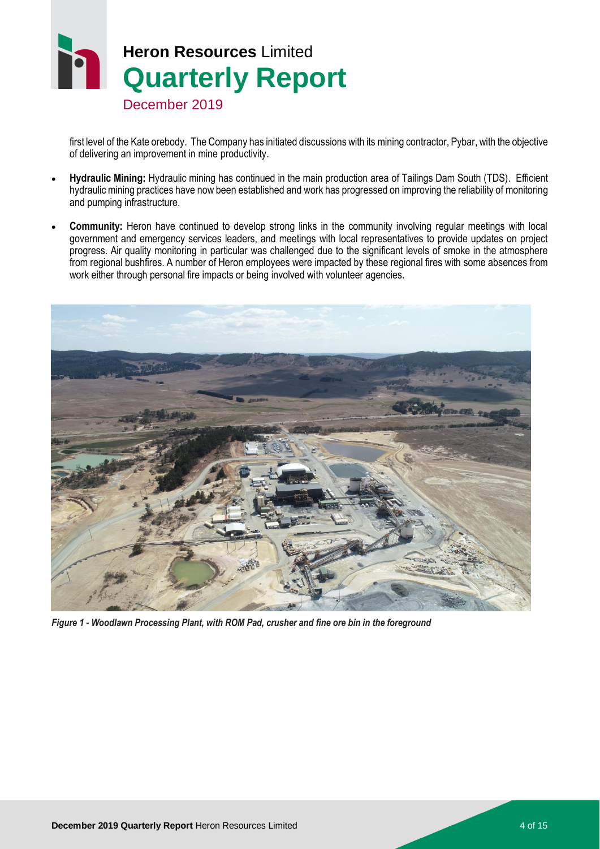

first level of the Kate orebody. The Company has initiated discussions with its mining contractor, Pybar, with the objective of delivering an improvement in mine productivity.

- **Hydraulic Mining:** Hydraulic mining has continued in the main production area of Tailings Dam South (TDS). Efficient hydraulic mining practices have now been established and work has progressed on improving the reliability of monitoring and pumping infrastructure.
- **Community:** Heron have continued to develop strong links in the community involving regular meetings with local government and emergency services leaders, and meetings with local representatives to provide updates on project progress. Air quality monitoring in particular was challenged due to the significant levels of smoke in the atmosphere from regional bushfires. A number of Heron employees were impacted by these regional fires with some absences from work either through personal fire impacts or being involved with volunteer agencies.



*Figure 1 - Woodlawn Processing Plant, with ROM Pad, crusher and fine ore bin in the foreground*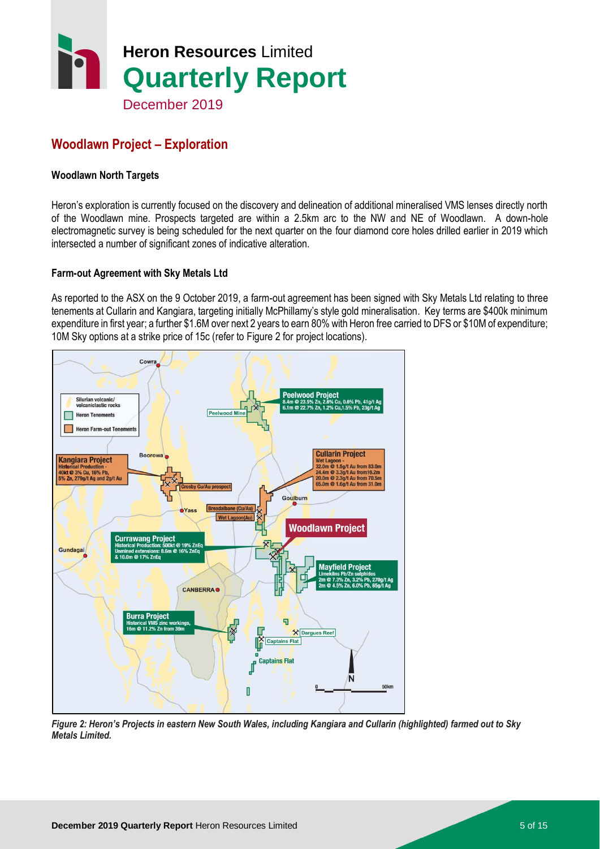

# **Woodlawn Project – Exploration**

#### **Woodlawn North Targets**

Heron's exploration is currently focused on the discovery and delineation of additional mineralised VMS lenses directly north of the Woodlawn mine. Prospects targeted are within a 2.5km arc to the NW and NE of Woodlawn. A down-hole electromagnetic survey is being scheduled for the next quarter on the four diamond core holes drilled earlier in 2019 which intersected a number of significant zones of indicative alteration.

#### **Farm-out Agreement with Sky Metals Ltd**

As reported to the ASX on the 9 October 2019, a farm-out agreement has been signed with Sky Metals Ltd relating to three tenements at Cullarin and Kangiara, targeting initially McPhillamy's style gold mineralisation. Key terms are \$400k minimum expenditure in first year; a further \$1.6M over next 2 years to earn 80% with Heron free carried to DFS or \$10M of expenditure; 10M Sky options at a strike price of 15c (refer to Figure 2 for project locations).



*Figure 2: Heron's Projects in eastern New South Wales, including Kangiara and Cullarin (highlighted) farmed out to Sky Metals Limited.*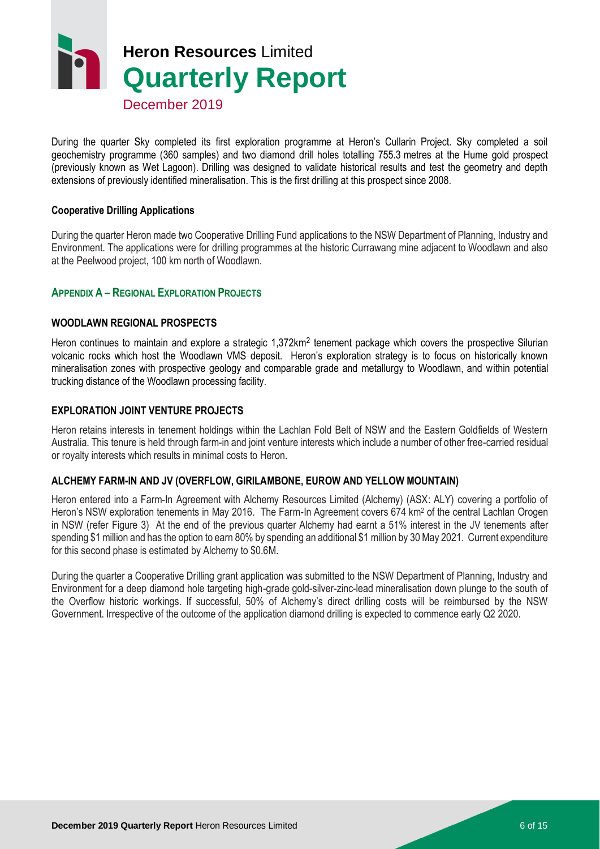# **Heron Resources** Limited **Quarterly Report**

December 2019

During the quarter Sky completed its first exploration programme at Heron's Cullarin Project. Sky completed a soil geochemistry programme (360 samples) and two diamond drill holes totalling 755.3 metres at the Hume gold prospect (previously known as Wet Lagoon). Drilling was designed to validate historical results and test the geometry and depth extensions of previously identified mineralisation. This is the first drilling at this prospect since 2008.

#### **Cooperative Drilling Applications**

During the quarter Heron made two Cooperative Drilling Fund applications to the NSW Department of Planning, Industry and Environment. The applications were for drilling programmes at the historic Currawang mine adjacent to Woodlawn and also at the Peelwood project, 100 km north of Woodlawn.

#### **APPENDIX A – REGIONAL EXPLORATION PROJECTS**

#### **WOODLAWN REGIONAL PROSPECTS**

Heron continues to maintain and explore a strategic 1,372km<sup>2</sup> tenement package which covers the prospective Silurian volcanic rocks which host the Woodlawn VMS deposit. Heron's exploration strategy is to focus on historically known mineralisation zones with prospective geology and comparable grade and metallurgy to Woodlawn, and within potential trucking distance of the Woodlawn processing facility.

#### **EXPLORATION JOINT VENTURE PROJECTS**

Heron retains interests in tenement holdings within the Lachlan Fold Belt of NSW and the Eastern Goldfields of Western Australia. This tenure is held through farm-in and joint venture interests which include a number of other free-carried residual or royalty interests which results in minimal costs to Heron.

#### **ALCHEMY FARM-IN AND JV (OVERFLOW, GIRILAMBONE, EUROW AND YELLOW MOUNTAIN)**

Heron entered into a Farm-In Agreement with Alchemy Resources Limited (Alchemy) (ASX: ALY) covering a portfolio of Heron's NSW exploration tenements in May 2016. The Farm-In Agreement covers 674 km<sup>2</sup> of the central Lachlan Orogen in NSW (refer Figure 3) At the end of the previous quarter Alchemy had earnt a 51% interest in the JV tenements after spending \$1 million and has the option to earn 80% by spending an additional \$1 million by 30 May 2021. Current expenditure for this second phase is estimated by Alchemy to \$0.6M.

During the quarter a Cooperative Drilling grant application was submitted to the NSW Department of Planning, Industry and Environment for a deep diamond hole targeting high-grade gold-silver-zinc-lead mineralisation down plunge to the south of the Overflow historic workings. If successful, 50% of Alchemy's direct drilling costs will be reimbursed by the NSW Government. Irrespective of the outcome of the application diamond drilling is expected to commence early Q2 2020.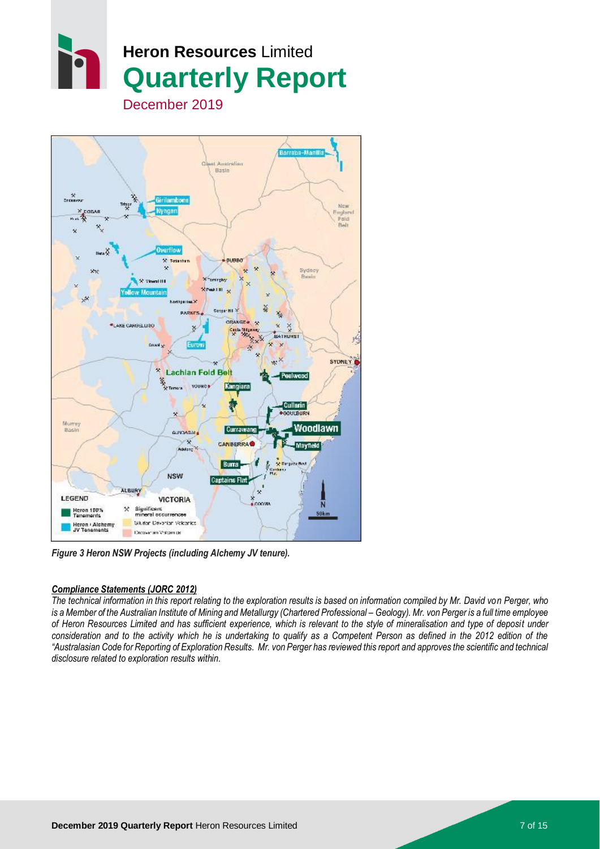



*Figure 3 Heron NSW Projects (including Alchemy JV tenure).*

#### *Compliance Statements (JORC 2012)*

*The technical information in this report relating to the exploration results is based on information compiled by Mr. David von Perger, who is a Member of the Australian Institute of Mining and Metallurgy (Chartered Professional – Geology). Mr. von Perger is a full time employee of Heron Resources Limited and has sufficient experience, which is relevant to the style of mineralisation and type of deposit under*  consideration and to the activity which he is undertaking to qualify as a Competent Person as defined in the 2012 edition of the *"Australasian Code for Reporting of Exploration Results. Mr. von Perger has reviewed this report and approves the scientific and technical disclosure related to exploration results within.*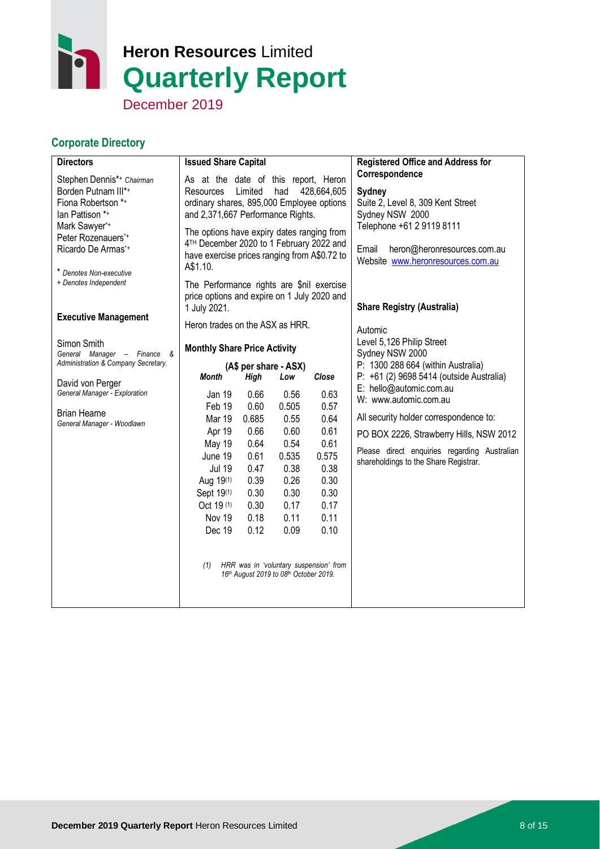# h **Heron Resources** Limited **Quarterly Report**

December 2019

# **Corporate Directory**

| <b>Directors</b>                                                                                                                                                                            | <b>Issued Share Capital</b>                                                                                                                                                                                                                                                                                                            |                                                                                                              |                                                                                                                                                                          |                                                                                                                                                  | <b>Registered Office and Address for</b>                                                                                                                                                                                                                                                                                                                                    |
|---------------------------------------------------------------------------------------------------------------------------------------------------------------------------------------------|----------------------------------------------------------------------------------------------------------------------------------------------------------------------------------------------------------------------------------------------------------------------------------------------------------------------------------------|--------------------------------------------------------------------------------------------------------------|--------------------------------------------------------------------------------------------------------------------------------------------------------------------------|--------------------------------------------------------------------------------------------------------------------------------------------------|-----------------------------------------------------------------------------------------------------------------------------------------------------------------------------------------------------------------------------------------------------------------------------------------------------------------------------------------------------------------------------|
| Stephen Dennis*+ Chairman<br>Borden Putnam III*+<br>Fiona Robertson *+<br>lan Pattison *+<br>Mark Sawyer*+<br>Peter Rozenauers*+<br>Ricardo De Armas*+<br>* Denotes Non-executive           | As at the date of this report, Heron<br>428,664,605<br>Limited<br>had<br>Resources<br>ordinary shares, 895,000 Employee options<br>and 2,371,667 Performance Rights.<br>The options have expiry dates ranging from<br>4 <sup>TH</sup> December 2020 to 1 February 2022 and<br>have exercise prices ranging from A\$0.72 to<br>A\$1.10. |                                                                                                              |                                                                                                                                                                          |                                                                                                                                                  | Correspondence<br>Sydney<br>Suite 2, Level 8, 309 Kent Street<br>Sydney NSW 2000<br>Telephone +61 2 9119 8111<br>heron@heronresources.com.au<br>Email<br>Website www.heronresources.com.au                                                                                                                                                                                  |
| + Denotes Independent<br><b>Executive Management</b>                                                                                                                                        | The Performance rights are \$nil exercise<br>price options and expire on 1 July 2020 and<br>1 July 2021.                                                                                                                                                                                                                               |                                                                                                              |                                                                                                                                                                          |                                                                                                                                                  | <b>Share Registry (Australia)</b>                                                                                                                                                                                                                                                                                                                                           |
| Simon Smith<br>General Manager - Finance &<br>Administration & Company Secretary.<br>David von Perger<br>General Manager - Exploration<br><b>Brian Hearne</b><br>General Manager - Woodlawn | Heron trades on the ASX as HRR.<br><b>Monthly Share Price Activity</b><br><b>Month</b><br>Jan 19<br>Feb 19<br><b>Mar 19</b><br>Apr 19<br><b>May 19</b><br>June 19<br><b>Jul 19</b><br>Aug 19 <sup>(1)</sup><br>Sept 19(1)<br>Oct 19 (1)<br>Nov 19<br>Dec 19<br>(1)                                                                     | <b>High</b><br>0.66<br>0.60<br>0.685<br>0.66<br>0.64<br>0.61<br>0.47<br>0.39<br>0.30<br>0.30<br>0.18<br>0.12 | (A\$ per share - ASX)<br>Low<br>0.56<br>0.505<br>0.55<br>0.60<br>0.54<br>0.535<br>0.38<br>0.26<br>0.30<br>0.17<br>0.11<br>0.09<br>16th August 2019 to 08th October 2019. | Close<br>0.63<br>0.57<br>0.64<br>0.61<br>0.61<br>0.575<br>0.38<br>0.30<br>0.30<br>0.17<br>0.11<br>0.10<br>HRR was in 'voluntary suspension' from | Automic<br>Level 5,126 Philip Street<br>Sydney NSW 2000<br>P: 1300 288 664 (within Australia)<br>P: +61 (2) 9698 5414 (outside Australia)<br>E: hello@automic.com.au<br>W: www.automic.com.au<br>All security holder correspondence to:<br>PO BOX 2226, Strawberry Hills, NSW 2012<br>Please direct enquiries regarding Australian<br>shareholdings to the Share Registrar. |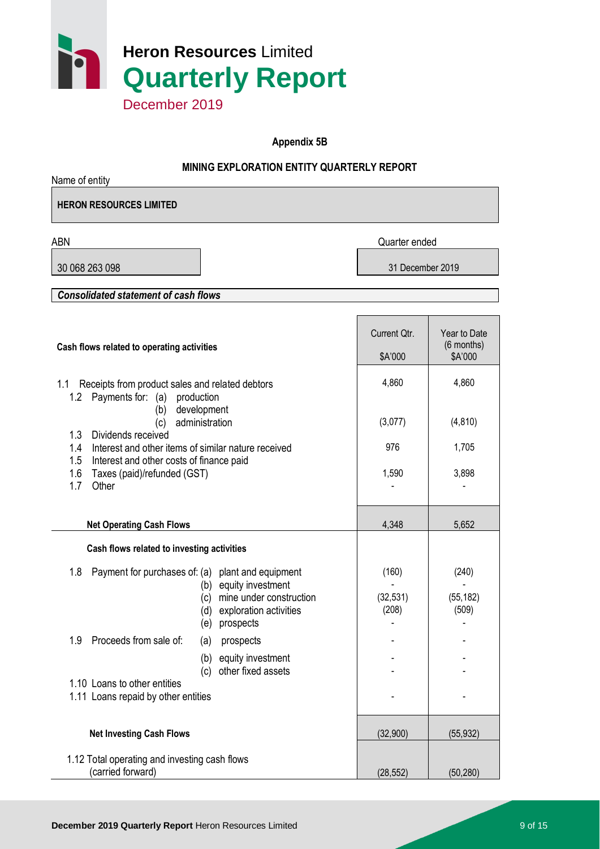

**Appendix 5B**

### **MINING EXPLORATION ENTITY QUARTERLY REPORT**

| Name of entity                                                                                        |                                                                                                                                                                |                             |                                         |
|-------------------------------------------------------------------------------------------------------|----------------------------------------------------------------------------------------------------------------------------------------------------------------|-----------------------------|-----------------------------------------|
| <b>HERON RESOURCES LIMITED</b>                                                                        |                                                                                                                                                                |                             |                                         |
| <b>ABN</b>                                                                                            |                                                                                                                                                                | Quarter ended               |                                         |
| 30 068 263 098                                                                                        |                                                                                                                                                                | 31 December 2019            |                                         |
| <b>Consolidated statement of cash flows</b>                                                           |                                                                                                                                                                |                             |                                         |
|                                                                                                       |                                                                                                                                                                |                             |                                         |
| Cash flows related to operating activities                                                            |                                                                                                                                                                | Current Qtr.<br>\$A'000     | Year to Date<br>$(6$ months)<br>\$A'000 |
| Receipts from product sales and related debtors<br>1.1<br>1.2 Payments for: (a)                       | production                                                                                                                                                     | 4,860                       | 4,860                                   |
| (b)<br>(c)<br>Dividends received<br>1.3                                                               | development<br>administration                                                                                                                                  | (3,077)                     | (4, 810)                                |
| 1.4                                                                                                   | Interest and other items of similar nature received                                                                                                            |                             | 1,705                                   |
| 1.5<br>Interest and other costs of finance paid<br>1.6<br>Taxes (paid)/refunded (GST)<br>1.7<br>Other |                                                                                                                                                                | 1,590                       | 3,898                                   |
| <b>Net Operating Cash Flows</b>                                                                       |                                                                                                                                                                | 4,348                       | 5,652                                   |
| Cash flows related to investing activities                                                            |                                                                                                                                                                |                             |                                         |
| 1.8                                                                                                   | Payment for purchases of: (a) plant and equipment<br>equity investment<br>(b)<br>mine under construction<br>(c)<br>(d) exploration activities<br>(e) prospects | (160)<br>(32, 531)<br>(208) | (240)<br>(55, 182)<br>(509)             |
| Proceeds from sale of:<br>1.9                                                                         | prospects<br>(a)                                                                                                                                               |                             |                                         |
|                                                                                                       | equity investment<br>(b)<br>other fixed assets<br>(c)                                                                                                          |                             |                                         |
| 1.10 Loans to other entities<br>1.11 Loans repaid by other entities                                   |                                                                                                                                                                |                             |                                         |
| <b>Net Investing Cash Flows</b>                                                                       |                                                                                                                                                                | (32,900)                    | (55, 932)                               |
| 1.12 Total operating and investing cash flows<br>(carried forward)                                    |                                                                                                                                                                | (28, 552)                   | (50, 280)                               |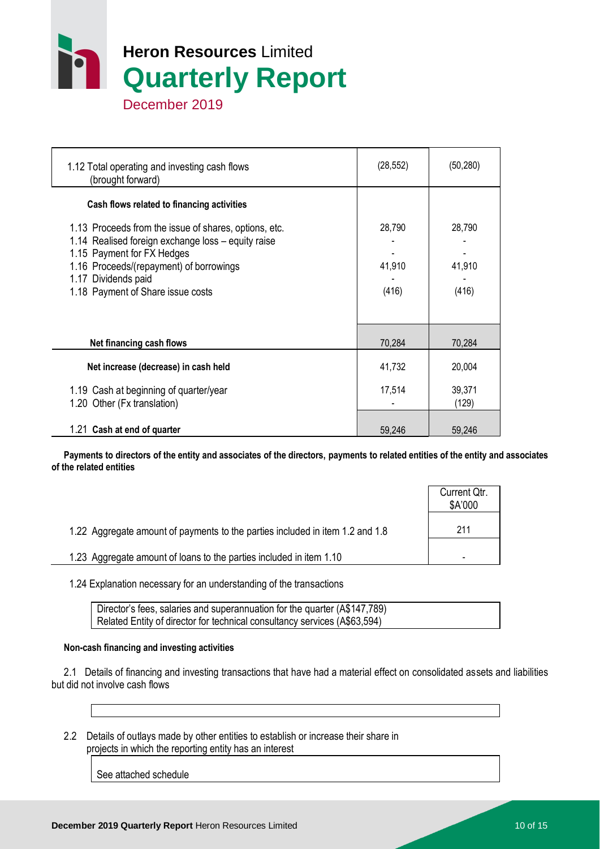

 1.12 Total operating and investing cash flows (brought forward) (28,552) (50,280)  **Cash flows related to financing activities** 1.13 Proceeds from the issue of shares, options, etc. 28,790 28,790 28,790 1.14 Realised foreign exchange loss  $-$  equity raise 1.15 Payment for FX Hedges 1.16 Proceeds/(repayment) of borrowings 41,910 41,910 41,910 1.17 Dividends paid 1.18 Payment of Share issue costs (416) (416) (416) **Net financing cash flows 1988 1998 12:33 12:44 70,284 70,284 70,284 Net increase (decrease) in cash held** 41,732 20,004 1.19 Cash at beginning of quarter/year 17.514 17,514 39,371 1.20 Other (Fx translation) and the contract of the contract of the contract of the contract of the contract of the contract of the contract of the contract of the contract of the contract of the contract of the contract o 1.21 **Cash at end of quarter** 59,246 59,246

 **Payments to directors of the entity and associates of the directors, payments to related entities of the entity and associates of the related entities**

|                                                                               | Current Qtr.<br>\$A'000 |
|-------------------------------------------------------------------------------|-------------------------|
| 1.22 Aggregate amount of payments to the parties included in item 1.2 and 1.8 | 211                     |
| 1.23 Aggregate amount of loans to the parties included in item 1.10           | -                       |

1.24 Explanation necessary for an understanding of the transactions

Director's fees, salaries and superannuation for the quarter (A\$147,789) Related Entity of director for technical consultancy services (A\$63,594)

#### **Non-cash financing and investing activities**

 2.1 Details of financing and investing transactions that have had a material effect on consolidated assets and liabilities but did not involve cash flows

 2.2 Details of outlays made by other entities to establish or increase their share in projects in which the reporting entity has an interest

See attached schedule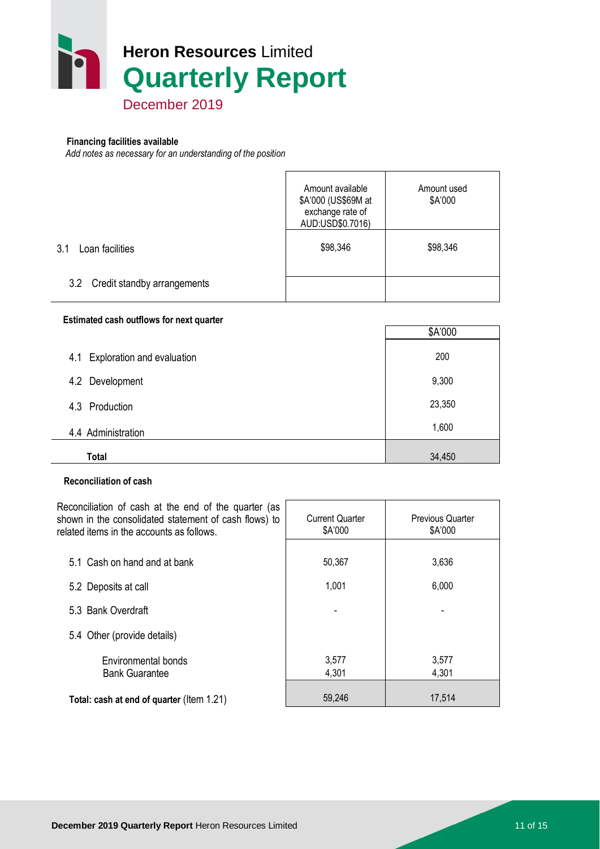

# **Financing facilities available**

*Add notes as necessary for an understanding of the position*

|                                 | Amount available<br>\$A'000 (US\$69M at<br>exchange rate of<br>AUD:USD\$0.7016) | Amount used<br>\$A'000 |
|---------------------------------|---------------------------------------------------------------------------------|------------------------|
| 3.1<br>Loan facilities          | \$98,346                                                                        | \$98,346               |
| 3.2 Credit standby arrangements |                                                                                 |                        |

#### **Estimated cash outflows for next quarter**

|                                   | \$A'000 |
|-----------------------------------|---------|
| Exploration and evaluation<br>4.1 | 200     |
| 4.2 Development                   | 9,300   |
| 4.3 Production                    | 23,350  |
| 4.4 Administration                | 1,600   |
| <b>Total</b>                      | 34,450  |

#### **Reconciliation of cash**

Reconciliation of cash at the end of the quarter (as shown in the consolidated statement of cash flows) to related items in the accounts as follows. Current Quarter \$A'000 Previous Quarter \$A'000 5.1 Cash on hand and at bank 50,367 3,636 5.2 Deposits at call 6,000 5.3 Bank Overdraft - - 5.4 Other (provide details) Environmental bonds 1 3,577 3,577 Bank Guarantee 1, 1990 1, 1990 1, 1990 1, 1990 1, 1990 1, 1990 1, 1990 1, 1990 1, 1990 1, 1990 1, 1990 1, 1990 1 **Total: cash at end of quarter** (Item 1.21) 59,246 17,514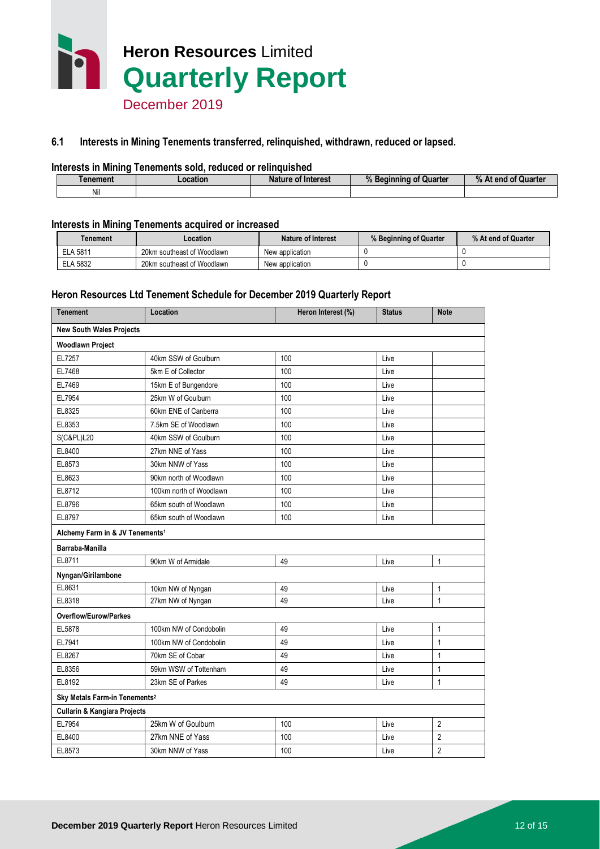

#### **6.1 Interests in Mining Tenements transferred, relinquished, withdrawn, reduced or lapsed.**

#### **Interests in Mining Tenements sold, reduced or relinquished**

| enement | .ocation | Nature of Interest | $\mathbf{u}$<br>Quarter<br>Beginning<br>7ο | $%$ At end<br>of Quarter |
|---------|----------|--------------------|--------------------------------------------|--------------------------|
| Nil     |          |                    |                                            |                          |

#### **Interests in Mining Tenements acquired or increased**

| <b>Tenement</b> | _ocation                   | Nature of Interest | % Beginning of Quarter | % At end of Quarter |
|-----------------|----------------------------|--------------------|------------------------|---------------------|
| <b>ELA 5811</b> | 20km southeast of Woodlawn | New application    |                        |                     |
| <b>ELA 5832</b> | 20km southeast of Woodlawn | New application    |                        |                     |

#### **Heron Resources Ltd Tenement Schedule for December 2019 Quarterly Report**

| <b>Tenement</b>                             | Location                | Heron Interest (%) | <b>Status</b> | <b>Note</b>    |  |  |
|---------------------------------------------|-------------------------|--------------------|---------------|----------------|--|--|
| <b>New South Wales Projects</b>             |                         |                    |               |                |  |  |
| <b>Woodlawn Project</b>                     |                         |                    |               |                |  |  |
| EL7257                                      | 40km SSW of Goulburn    | 100                | Live          |                |  |  |
| EL7468                                      | 5km E of Collector      | 100                | Live          |                |  |  |
| EL7469                                      | 15km E of Bungendore    | 100                | Live          |                |  |  |
| EL7954                                      | 25km W of Goulburn      | 100                | Live          |                |  |  |
| EL8325                                      | 60km ENE of Canberra    | 100                | Live          |                |  |  |
| EL8353                                      | 7.5km SE of Woodlawn    | 100                | Live          |                |  |  |
| S(C&PL)L20                                  | 40km SSW of Goulburn    | 100                | Live          |                |  |  |
| EL8400                                      | 27km NNE of Yass        | 100                | Live          |                |  |  |
| EL8573                                      | 30km NNW of Yass        | 100                | Live          |                |  |  |
| EL8623                                      | 90km north of Woodlawn  | 100                | Live          |                |  |  |
| EL8712                                      | 100km north of Woodlawn | 100                | Live          |                |  |  |
| EL8796                                      | 65km south of Woodlawn  | 100                | Live          |                |  |  |
| EL8797                                      | 65km south of Woodlawn  | 100                | Live          |                |  |  |
| Alchemy Farm in & JV Tenements <sup>1</sup> |                         |                    |               |                |  |  |
| Barraba-Manilla                             |                         |                    |               |                |  |  |
| EL8711                                      | 90km W of Armidale      | 49                 | Live          | $\mathbf{1}$   |  |  |
| Nyngan/Girilambone                          |                         |                    |               |                |  |  |
| EL8631                                      | 10km NW of Nyngan       | 49                 | Live          | 1              |  |  |
| EL8318                                      | 27km NW of Nyngan       | 49                 | Live          | $\mathbf{1}$   |  |  |
| Overflow/Eurow/Parkes                       |                         |                    |               |                |  |  |
| EL5878                                      | 100km NW of Condobolin  | 49                 | Live          | $\mathbf{1}$   |  |  |
| EL7941                                      | 100km NW of Condobolin  | 49                 | Live          | $\mathbf{1}$   |  |  |
| EL8267                                      | 70km SE of Cobar        | 49                 | Live          | 1              |  |  |
| EL8356                                      | 59km WSW of Tottenham   | 49                 | Live          | $\mathbf{1}$   |  |  |
| EL8192                                      | 23km SE of Parkes       | 49                 | Live          | $\mathbf{1}$   |  |  |
| Sky Metals Farm-in Tenements <sup>2</sup>   |                         |                    |               |                |  |  |
| <b>Cullarin &amp; Kangiara Projects</b>     |                         |                    |               |                |  |  |
| EL7954                                      | 25km W of Goulburn      | 100                | Live          | 2              |  |  |
| EL8400                                      | 27km NNE of Yass        | 100                | Live          | $\overline{2}$ |  |  |
| EL8573                                      | 30km NNW of Yass        | 100                | Live          | $\overline{2}$ |  |  |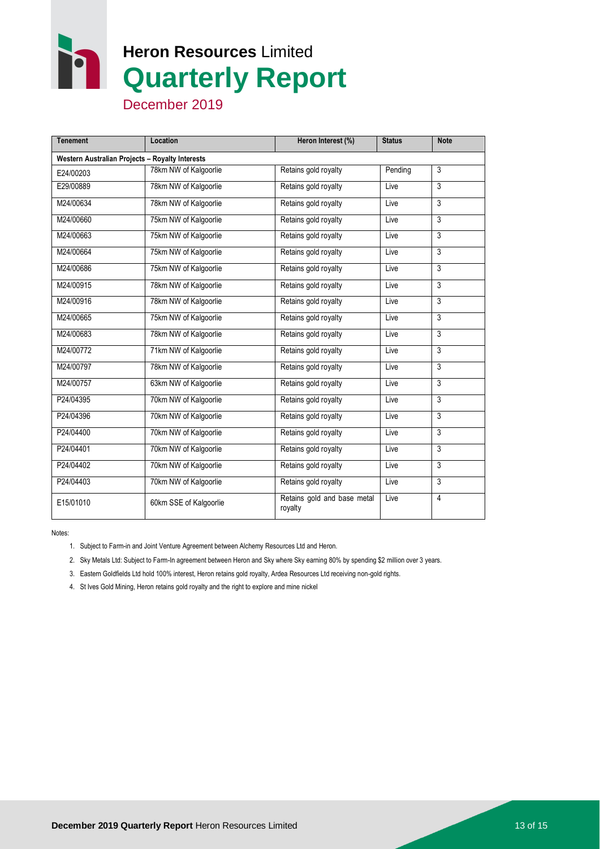n **Heron Resources** Limited **Quarterly Report**

December 2019

| <b>Tenement</b>                                 | Location               | Heron Interest (%)                     | <b>Status</b> | <b>Note</b>    |  |  |
|-------------------------------------------------|------------------------|----------------------------------------|---------------|----------------|--|--|
| Western Australian Projects - Royalty Interests |                        |                                        |               |                |  |  |
| E24/00203                                       | 78km NW of Kalgoorlie  | Retains gold royalty                   | Pending       | 3              |  |  |
| E29/00889                                       | 78km NW of Kalgoorlie  | Retains gold royalty                   | Live          | $\overline{3}$ |  |  |
| M24/00634                                       | 78km NW of Kalgoorlie  | Retains gold royalty                   | Live          | 3              |  |  |
| M24/00660                                       | 75km NW of Kalgoorlie  | Retains gold royalty                   | Live          | 3              |  |  |
| M24/00663                                       | 75km NW of Kalgoorlie  | Retains gold royalty                   | Live          | 3              |  |  |
| M24/00664                                       | 75km NW of Kalgoorlie  | Retains gold royalty                   | Live          | 3              |  |  |
| M24/00686                                       | 75km NW of Kalgoorlie  | Retains gold royalty                   | Live          | 3              |  |  |
| M24/00915                                       | 78km NW of Kalgoorlie  | Retains gold royalty                   | Live          | 3              |  |  |
| M24/00916                                       | 78km NW of Kalgoorlie  | Retains gold royalty                   | Live          | 3              |  |  |
| M24/00665                                       | 75km NW of Kalgoorlie  | Retains gold royalty                   | Live          | 3              |  |  |
| M24/00683                                       | 78km NW of Kalgoorlie  | Retains gold royalty                   | Live          | 3              |  |  |
| M24/00772                                       | 71km NW of Kalgoorlie  | Retains gold royalty                   | Live          | 3              |  |  |
| M24/00797                                       | 78km NW of Kalgoorlie  | Retains gold royalty                   | Live          | 3              |  |  |
| M24/00757                                       | 63km NW of Kalgoorlie  | Retains gold royalty                   | Live          | 3              |  |  |
| P24/04395                                       | 70km NW of Kalgoorlie  | Retains gold royalty                   | Live          | 3              |  |  |
| P24/04396                                       | 70km NW of Kalgoorlie  | Retains gold royalty                   | Live          | 3              |  |  |
| P24/04400                                       | 70km NW of Kalgoorlie  | Retains gold royalty                   | Live          | 3              |  |  |
| P24/04401                                       | 70km NW of Kalgoorlie  | Retains gold royalty                   | Live          | $\overline{3}$ |  |  |
| P24/04402                                       | 70km NW of Kalgoorlie  | Retains gold royalty                   | Live          | 3              |  |  |
| P24/04403                                       | 70km NW of Kalgoorlie  | Retains gold royalty                   | Live          | 3              |  |  |
| E15/01010                                       | 60km SSE of Kalgoorlie | Retains gold and base metal<br>royalty | Live          | 4              |  |  |

Notes:

- 1. Subject to Farm-in and Joint Venture Agreement between Alchemy Resources Ltd and Heron.
- 2. Sky Metals Ltd: Subject to Farm-In agreement between Heron and Sky where Sky earning 80% by spending \$2 million over 3 years.
- 3. Eastern Goldfields Ltd hold 100% interest, Heron retains gold royalty, Ardea Resources Ltd receiving non-gold rights.
- 4. St Ives Gold Mining, Heron retains gold royalty and the right to explore and mine nickel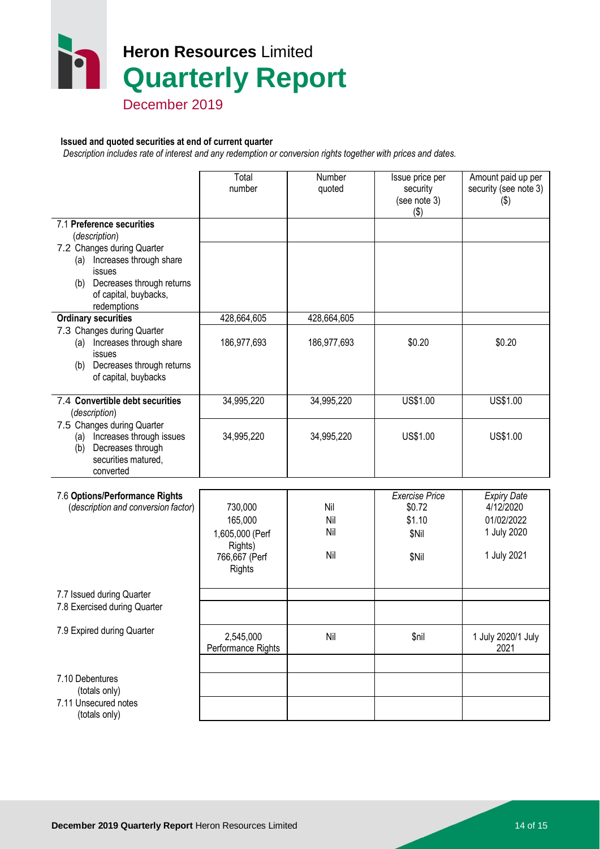# **Heron Resources** Limited **Quarterly Report**

December 2019

#### **Issued and quoted securities at end of current quarter**

 *Description includes rate of interest and any redemption or conversion rights together with prices and dates.*

|                                                                                                                                    | Total<br>number                    | Number<br>quoted | Issue price per<br>security<br>(see note 3)<br>$($ \$) | Amount paid up per<br>security (see note 3)<br>$(\$)$ |
|------------------------------------------------------------------------------------------------------------------------------------|------------------------------------|------------------|--------------------------------------------------------|-------------------------------------------------------|
| 7.1 Preference securities<br>(description)                                                                                         |                                    |                  |                                                        |                                                       |
| 7.2 Changes during Quarter                                                                                                         |                                    |                  |                                                        |                                                       |
| Increases through share<br>(a)<br>issues                                                                                           |                                    |                  |                                                        |                                                       |
| (b) Decreases through returns<br>of capital, buybacks,<br>redemptions                                                              |                                    |                  |                                                        |                                                       |
| <b>Ordinary securities</b>                                                                                                         | 428,664,605                        | 428,664,605      |                                                        |                                                       |
| 7.3 Changes during Quarter<br>Increases through share<br>(a)<br>issues<br>Decreases through returns<br>(b)<br>of capital, buybacks | 186,977,693                        | 186,977,693      | \$0.20                                                 | \$0.20                                                |
| 7.4 Convertible debt securities<br>(description)                                                                                   | 34,995,220                         | 34,995,220       | US\$1.00                                               | US\$1.00                                              |
| 7.5 Changes during Quarter<br>Increases through issues<br>(a)<br>Decreases through<br>(b)<br>securities matured,<br>converted      | 34,995,220                         | 34,995,220       | US\$1.00                                               | US\$1.00                                              |
| 7.6 Options/Performance Rights                                                                                                     |                                    |                  | <b>Exercise Price</b>                                  | <b>Expiry Date</b>                                    |
| (description and conversion factor)                                                                                                | 730,000                            | Nil              | \$0.72                                                 | 4/12/2020                                             |
|                                                                                                                                    | 165,000                            | Nil              | \$1.10                                                 | 01/02/2022                                            |
|                                                                                                                                    | 1,605,000 (Perf                    | Nil              | \$Nil                                                  | 1 July 2020                                           |
|                                                                                                                                    | Rights)<br>766,667 (Perf<br>Rights | Nil              | \$Nil                                                  | 1 July 2021                                           |
| 7.7 Issued during Quarter                                                                                                          |                                    |                  |                                                        |                                                       |
| 7.8 Exercised during Quarter                                                                                                       |                                    |                  |                                                        |                                                       |
| 7.9 Expired during Quarter                                                                                                         | 2,545,000<br>Performance Rights    | Nil              | \$nil                                                  | 1 July 2020/1 July<br>2021                            |
|                                                                                                                                    |                                    |                  |                                                        |                                                       |
| 7.10 Debentures<br>(totals only)                                                                                                   |                                    |                  |                                                        |                                                       |
| 7.11 Unsecured notes<br>(totals only)                                                                                              |                                    |                  |                                                        |                                                       |